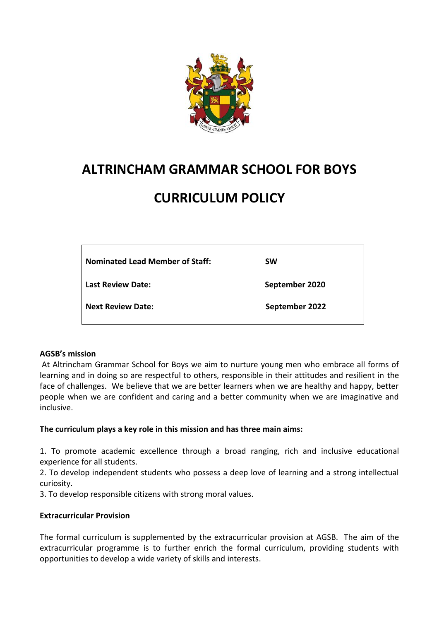

## **ALTRINCHAM GRAMMAR SCHOOL FOR BOYS**

# **CURRICULUM POLICY**

| Nominated Lead Member of Staff: | <b>SW</b>      |
|---------------------------------|----------------|
| Last Review Date:               | September 2020 |
| Next Review Date:               | September 2022 |

#### **AGSB's mission**

At Altrincham Grammar School for Boys we aim to nurture young men who embrace all forms of learning and in doing so are respectful to others, responsible in their attitudes and resilient in the face of challenges. We believe that we are better learners when we are healthy and happy, better people when we are confident and caring and a better community when we are imaginative and inclusive.

#### **The curriculum plays a key role in this mission and has three main aims:**

1. To promote academic excellence through a broad ranging, rich and inclusive educational experience for all students.

2. To develop independent students who possess a deep love of learning and a strong intellectual curiosity.

3. To develop responsible citizens with strong moral values.

#### **Extracurricular Provision**

The formal curriculum is supplemented by the extracurricular provision at AGSB. The aim of the extracurricular programme is to further enrich the formal curriculum, providing students with opportunities to develop a wide variety of skills and interests.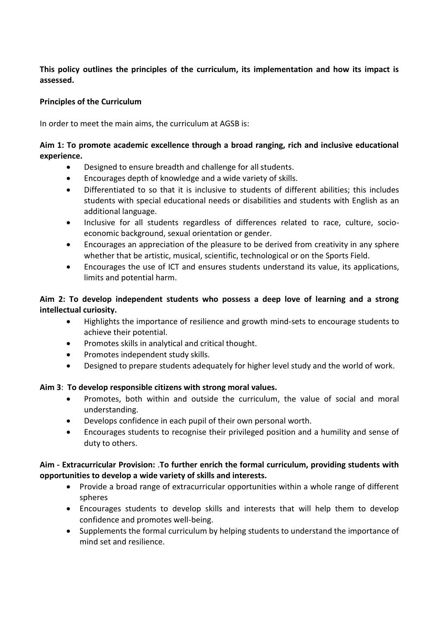**This policy outlines the principles of the curriculum, its implementation and how its impact is assessed.**

#### **Principles of the Curriculum**

In order to meet the main aims, the curriculum at AGSB is:

#### **Aim 1: To promote academic excellence through a broad ranging, rich and inclusive educational experience.**

- Designed to ensure breadth and challenge for all students.
- Encourages depth of knowledge and a wide variety of skills.
- Differentiated to so that it is inclusive to students of different abilities; this includes students with special educational needs or disabilities and students with English as an additional language.
- Inclusive for all students regardless of differences related to race, culture, socioeconomic background, sexual orientation or gender.
- Encourages an appreciation of the pleasure to be derived from creativity in any sphere whether that be artistic, musical, scientific, technological or on the Sports Field.
- Encourages the use of ICT and ensures students understand its value, its applications, limits and potential harm.

#### **Aim 2: To develop independent students who possess a deep love of learning and a strong intellectual curiosity.**

- Highlights the importance of resilience and growth mind-sets to encourage students to achieve their potential.
- Promotes skills in analytical and critical thought.
- Promotes independent study skills.
- Designed to prepare students adequately for higher level study and the world of work.

### **Aim 3**: **To develop responsible citizens with strong moral values.**

- Promotes, both within and outside the curriculum, the value of social and moral understanding.
- Develops confidence in each pupil of their own personal worth.
- Encourages students to recognise their privileged position and a humility and sense of duty to others.

#### **Aim - Extracurricular Provision:** .**To further enrich the formal curriculum, providing students with opportunities to develop a wide variety of skills and interests.**

- Provide a broad range of extracurricular opportunities within a whole range of different spheres
- Encourages students to develop skills and interests that will help them to develop confidence and promotes well-being.
- Supplements the formal curriculum by helping students to understand the importance of mind set and resilience.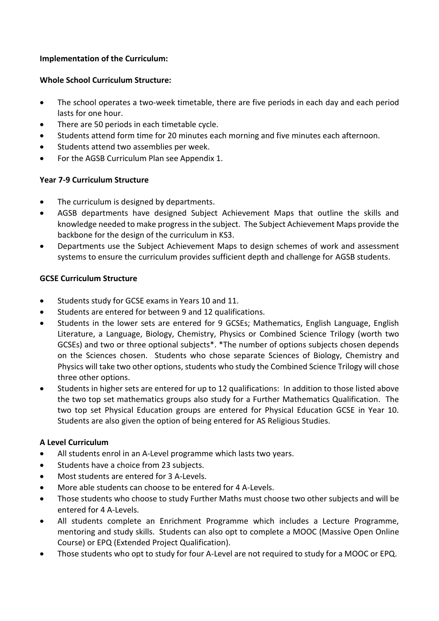#### **Implementation of the Curriculum:**

#### **Whole School Curriculum Structure:**

- The school operates a two-week timetable, there are five periods in each day and each period lasts for one hour.
- There are 50 periods in each timetable cycle.
- Students attend form time for 20 minutes each morning and five minutes each afternoon.
- Students attend two assemblies per week.
- For the AGSB Curriculum Plan see Appendix 1.

#### **Year 7-9 Curriculum Structure**

- The curriculum is designed by departments.
- AGSB departments have designed Subject Achievement Maps that outline the skills and knowledge needed to make progress in the subject. The Subject Achievement Maps provide the backbone for the design of the curriculum in KS3.
- Departments use the Subject Achievement Maps to design schemes of work and assessment systems to ensure the curriculum provides sufficient depth and challenge for AGSB students.

#### **GCSE Curriculum Structure**

- Students study for GCSE exams in Years 10 and 11.
- Students are entered for between 9 and 12 qualifications.
- Students in the lower sets are entered for 9 GCSEs; Mathematics, English Language, English Literature, a Language, Biology, Chemistry, Physics or Combined Science Trilogy (worth two GCSEs) and two or three optional subjects\*. \*The number of options subjects chosen depends on the Sciences chosen. Students who chose separate Sciences of Biology, Chemistry and Physics will take two other options, students who study the Combined Science Trilogy will chose three other options.
- Students in higher sets are entered for up to 12 qualifications: In addition to those listed above the two top set mathematics groups also study for a Further Mathematics Qualification. The two top set Physical Education groups are entered for Physical Education GCSE in Year 10. Students are also given the option of being entered for AS Religious Studies.

#### **A Level Curriculum**

- All students enrol in an A-Level programme which lasts two years.
- Students have a choice from 23 subjects.
- Most students are entered for 3 A-Levels.
- More able students can choose to be entered for 4 A-Levels.
- Those students who choose to study Further Maths must choose two other subjects and will be entered for 4 A-Levels.
- All students complete an Enrichment Programme which includes a Lecture Programme, mentoring and study skills. Students can also opt to complete a MOOC (Massive Open Online Course) or EPQ (Extended Project Qualification).
- Those students who opt to study for four A-Level are not required to study for a MOOC or EPQ.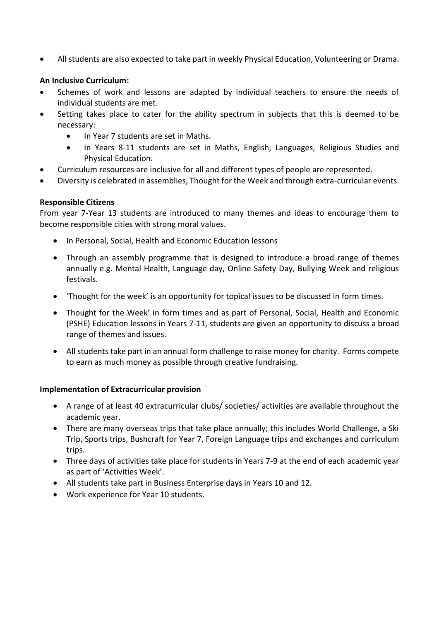• All students are also expected to take part in weekly Physical Education, Volunteering or Drama.

#### **An Inclusive Curriculum:**

- Schemes of work and lessons are adapted by individual teachers to ensure the needs of individual students are met.
- Setting takes place to cater for the ability spectrum in subjects that this is deemed to be necessary:
	- In Year 7 students are set in Maths.
	- In Years 8-11 students are set in Maths, English, Languages, Religious Studies and Physical Education.
- Curriculum resources are inclusive for all and different types of people are represented.
- Diversity is celebrated in assemblies, Thought for the Week and through extra-curricular events.

#### **Responsible Citizens**

From year 7-Year 13 students are introduced to many themes and ideas to encourage them to become responsible cities with strong moral values.

- In Personal, Social, Health and Economic Education lessons
- Through an assembly programme that is designed to introduce a broad range of themes annually e.g. Mental Health, Language day, Online Safety Day, Bullying Week and religious festivals.
- 'Thought for the week' is an opportunity for topical issues to be discussed in form times.
- Thought for the Week' in form times and as part of Personal, Social, Health and Economic (PSHE) Education lessons in Years 7-11, students are given an opportunity to discuss a broad range of themes and issues.
- All students take part in an annual form challenge to raise money for charity. Forms compete to earn as much money as possible through creative fundraising.

#### **Implementation of Extracurricular provision**

- A range of at least 40 extracurricular clubs/ societies/ activities are available throughout the academic year.
- There are many overseas trips that take place annually; this includes World Challenge, a Ski Trip, Sports trips, Bushcraft for Year 7, Foreign Language trips and exchanges and curriculum trips.
- Three days of activities take place for students in Years 7-9 at the end of each academic year as part of 'Activities Week'.
- All students take part in Business Enterprise days in Years 10 and 12.
- Work experience for Year 10 students.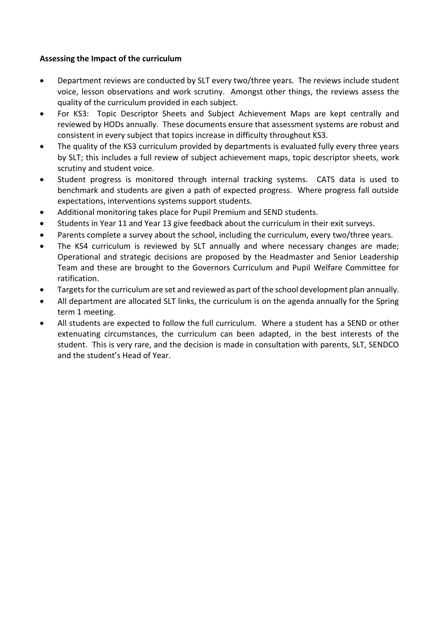#### **Assessing the Impact of the curriculum**

- Department reviews are conducted by SLT every two/three years. The reviews include student voice, lesson observations and work scrutiny. Amongst other things, the reviews assess the quality of the curriculum provided in each subject.
- For KS3: Topic Descriptor Sheets and Subject Achievement Maps are kept centrally and reviewed by HODs annually. These documents ensure that assessment systems are robust and consistent in every subject that topics increase in difficulty throughout KS3.
- The quality of the KS3 curriculum provided by departments is evaluated fully every three years by SLT; this includes a full review of subject achievement maps, topic descriptor sheets, work scrutiny and student voice.
- Student progress is monitored through internal tracking systems. CATS data is used to benchmark and students are given a path of expected progress. Where progress fall outside expectations, interventions systems support students.
- Additional monitoring takes place for Pupil Premium and SEND students.
- Students in Year 11 and Year 13 give feedback about the curriculum in their exit surveys.
- Parents complete a survey about the school, including the curriculum, every two/three years.
- The KS4 curriculum is reviewed by SLT annually and where necessary changes are made; Operational and strategic decisions are proposed by the Headmaster and Senior Leadership Team and these are brought to the Governors Curriculum and Pupil Welfare Committee for ratification.
- Targets for the curriculum are set and reviewed as part of the school development plan annually.
- All department are allocated SLT links, the curriculum is on the agenda annually for the Spring term 1 meeting.
- All students are expected to follow the full curriculum. Where a student has a SEND or other extenuating circumstances, the curriculum can been adapted, in the best interests of the student. This is very rare, and the decision is made in consultation with parents, SLT, SENDCO and the student's Head of Year.